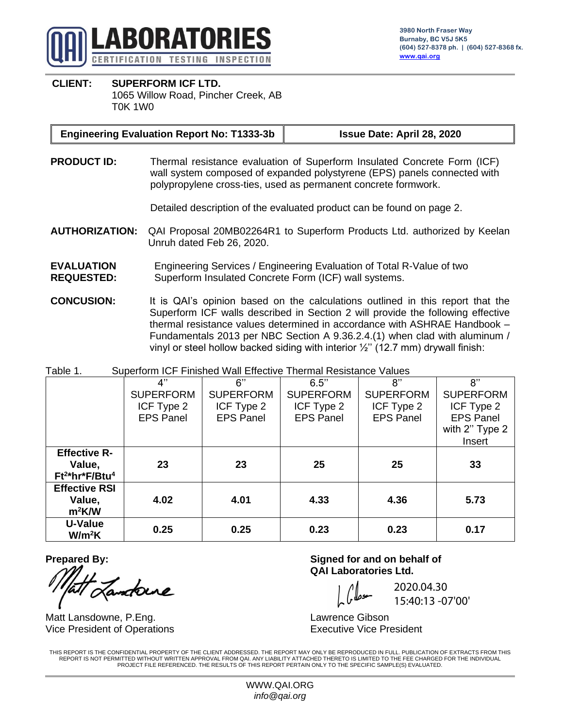

#### **CLIENT: SUPERFORM ICF LTD.** 1065 Willow Road, Pincher Creek, AB T0K 1W0

#### **Engineering Evaluation Report No: T1333-3b Issue Date: April 28, 2020**

**PRODUCT ID:** Thermal resistance evaluation of Superform Insulated Concrete Form (ICF) wall system composed of expanded polystyrene (EPS) panels connected with polypropylene cross-ties, used as permanent concrete formwork.

Detailed description of the evaluated product can be found on page 2.

- **AUTHORIZATION:** QAI Proposal 20MB02264R1 to Superform Products Ltd. authorized by Keelan Unruh dated Feb 26, 2020.
- **EVALUATION REQUESTED:** Engineering Services / Engineering Evaluation of Total R-Value of two Superform Insulated Concrete Form (ICF) wall systems.
- **CONCUSION:** It is QAI's opinion based on the calculations outlined in this report that the Superform ICF walls described in Section 2 will provide the following effective thermal resistance values determined in accordance with ASHRAE Handbook – Fundamentals 2013 per NBC Section A 9.36.2.4.(1) when clad with aluminum / vinyl or steel hollow backed siding with interior  $\frac{1}{2}$ " (12.7 mm) drywall finish:

Table 1. Superform ICF Finished Wall Effective Thermal Resistance Values

|                      | 4"               | 6"               | 6.5"             | 8"               | 8"               |  |
|----------------------|------------------|------------------|------------------|------------------|------------------|--|
|                      | <b>SUPERFORM</b> | <b>SUPERFORM</b> | <b>SUPERFORM</b> | <b>SUPERFORM</b> | <b>SUPERFORM</b> |  |
|                      | ICF Type 2       | ICF Type 2       | ICF Type 2       | ICF Type 2       | ICF Type 2       |  |
|                      | <b>EPS Panel</b> | <b>EPS Panel</b> | <b>EPS Panel</b> | <b>EPS Panel</b> | <b>EPS Panel</b> |  |
|                      |                  |                  |                  |                  | with 2" Type 2   |  |
|                      |                  |                  |                  |                  | Insert           |  |
| <b>Effective R-</b>  |                  |                  |                  |                  |                  |  |
| Value,               | 23               | 23               | 25               | 25               | 33               |  |
| $Ft^{2*}hr^*F/Btu^4$ |                  |                  |                  |                  |                  |  |
| <b>Effective RSI</b> |                  |                  |                  |                  |                  |  |
| Value,               | 4.02             | 4.01             | 4.33             | 4.36             | 5.73             |  |
| $m^2$ K/W            |                  |                  |                  |                  |                  |  |
| U-Value              | 0.25             | 0.25             | 0.23             | 0.23             | 0.17             |  |
| W/m <sup>2</sup> K   |                  |                  |                  |                  |                  |  |

Jandoure

Matt Lansdowne, P.Eng. No. 2006 and Matt Lawrence Gibson Vice President of Operations **Executive Vice President** 

**Prepared By: Signed for and on behalf of QAI Laboratories Ltd.**

2020.04.30 15:40:13 -07'00'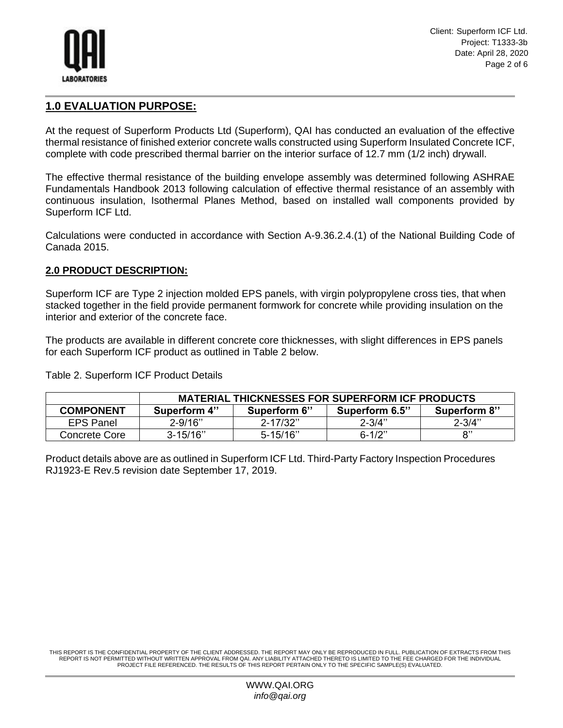

Client: Superform ICF Ltd. Project: T1333-3b Date: April 28, 2020 Page 2 of 6

# **1.0 EVALUATION PURPOSE:**

At the request of Superform Products Ltd (Superform), QAI has conducted an evaluation of the effective thermal resistance of finished exterior concrete walls constructed using Superform Insulated Concrete ICF, complete with code prescribed thermal barrier on the interior surface of 12.7 mm (1/2 inch) drywall.

The effective thermal resistance of the building envelope assembly was determined following ASHRAE Fundamentals Handbook 2013 following calculation of effective thermal resistance of an assembly with continuous insulation, Isothermal Planes Method, based on installed wall components provided by Superform ICF Ltd.

Calculations were conducted in accordance with Section A-9.36.2.4.(1) of the National Building Code of Canada 2015.

#### **2.0 PRODUCT DESCRIPTION:**

Superform ICF are Type 2 injection molded EPS panels, with virgin polypropylene cross ties, that when stacked together in the field provide permanent formwork for concrete while providing insulation on the interior and exterior of the concrete face.

The products are available in different concrete core thicknesses, with slight differences in EPS panels for each Superform ICF product as outlined in Table 2 below.

Table 2. Superform ICF Product Details

|                  | <b>MATERIAL THICKNESSES FOR SUPERFORM ICF PRODUCTS</b> |              |                |              |  |  |
|------------------|--------------------------------------------------------|--------------|----------------|--------------|--|--|
| <b>COMPONENT</b> | Superform 4"                                           | Superform 6" | Superform 6.5" | Superform 8" |  |  |
| <b>EPS Panel</b> | $2 - 9/16"$                                            | $2 - 17/32"$ | $2 - 3/4"$     | $2 - 3/4"$   |  |  |
| Concrete Core    | $3 - 15/16"$                                           | $5 - 15/16"$ | $6 - 1/2"$     | יי,          |  |  |

Product details above are as outlined in Superform ICF Ltd. Third-Party Factory Inspection Procedures RJ1923-E Rev.5 revision date September 17, 2019.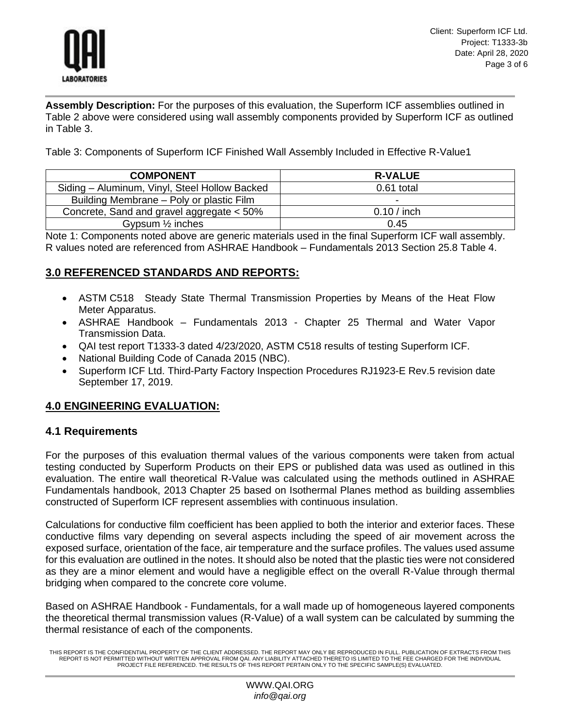

**Assembly Description:** For the purposes of this evaluation, the Superform ICF assemblies outlined in Table 2 above were considered using wall assembly components provided by Superform ICF as outlined in Table 3.

Table 3: Components of Superform ICF Finished Wall Assembly Included in Effective R-Value1

| <b>COMPONENT</b>                              | <b>R-VALUE</b> |
|-----------------------------------------------|----------------|
| Siding - Aluminum, Vinyl, Steel Hollow Backed | 0.61 total     |
| Building Membrane – Poly or plastic Film      |                |
| Concrete, Sand and gravel aggregate < 50%     | $0.10/$ inch   |
| Gypsum $\frac{1}{2}$ inches                   | 0.45           |

Note 1: Components noted above are generic materials used in the final Superform ICF wall assembly. R values noted are referenced from ASHRAE Handbook – Fundamentals 2013 Section 25.8 Table 4.

## **3.0 REFERENCED STANDARDS AND REPORTS:**

- ASTM C518 Steady State Thermal Transmission Properties by Means of the Heat Flow Meter Apparatus.
- ASHRAE Handbook Fundamentals 2013 Chapter 25 Thermal and Water Vapor Transmission Data.
- QAI test report T1333-3 dated 4/23/2020, ASTM C518 results of testing Superform ICF.
- National Building Code of Canada 2015 (NBC).
- Superform ICF Ltd. Third-Party Factory Inspection Procedures RJ1923-E Rev.5 revision date September 17, 2019.

## **4.0 ENGINEERING EVALUATION:**

## **4.1 Requirements**

For the purposes of this evaluation thermal values of the various components were taken from actual testing conducted by Superform Products on their EPS or published data was used as outlined in this evaluation. The entire wall theoretical R-Value was calculated using the methods outlined in ASHRAE Fundamentals handbook, 2013 Chapter 25 based on Isothermal Planes method as building assemblies constructed of Superform ICF represent assemblies with continuous insulation.

Calculations for conductive film coefficient has been applied to both the interior and exterior faces. These conductive films vary depending on several aspects including the speed of air movement across the exposed surface, orientation of the face, air temperature and the surface profiles. The values used assume for this evaluation are outlined in the notes. It should also be noted that the plastic ties were not considered as they are a minor element and would have a negligible effect on the overall R-Value through thermal bridging when compared to the concrete core volume.

Based on ASHRAE Handbook - Fundamentals, for a wall made up of homogeneous layered components the theoretical thermal transmission values (R-Value) of a wall system can be calculated by summing the thermal resistance of each of the components.

THIS REPORT IS THE CONFIDENTIAL PROPERTY OF THE CLIENT ADDRESSED. THE REPORT MAY ONLY BE REPRODUCED IN FULL. PUBLICATION OF EXTRACTS FROM THIS<br>REPORT IS NOT PERMITTED WITHOUT WRITTEN APPROVAL FROM QAI. ANY LIABILITY ATTACH PROJECT FILE REFERENCED. THE RESULTS OF THIS REPORT PERTAIN ONLY TO THE SPECIFIC SAMPLE(S) EVALUATED.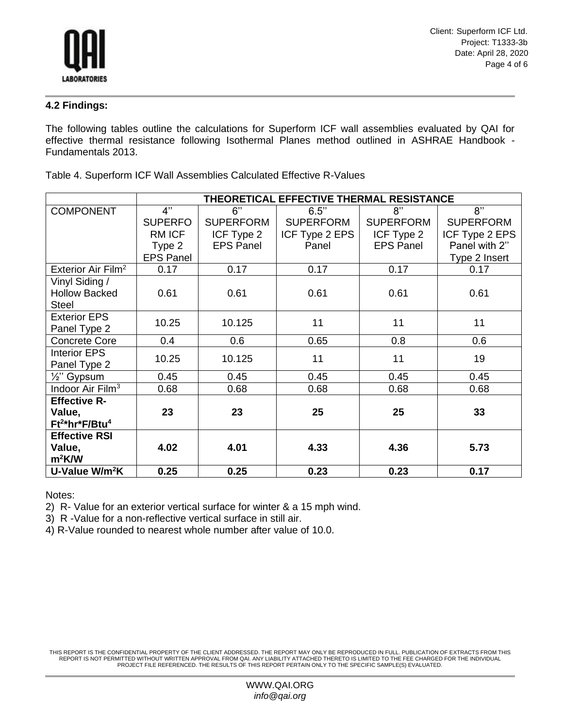

#### **4.2 Findings:**

The following tables outline the calculations for Superform ICF wall assemblies evaluated by QAI for effective thermal resistance following Isothermal Planes method outlined in ASHRAE Handbook - Fundamentals 2013.

|                                 | THEORETICAL EFFECTIVE THERMAL RESISTANCE |                  |                  |                  |                  |
|---------------------------------|------------------------------------------|------------------|------------------|------------------|------------------|
| <b>COMPONENT</b>                | 4"                                       | 6"               | 6.5"             | 8"               | 8"               |
|                                 | <b>SUPERFO</b>                           | <b>SUPERFORM</b> | <b>SUPERFORM</b> | <b>SUPERFORM</b> | <b>SUPERFORM</b> |
|                                 | RM ICF                                   | ICF Type 2       | ICF Type 2 EPS   | ICF Type 2       | ICF Type 2 EPS   |
|                                 | Type 2                                   | <b>EPS Panel</b> | Panel            | <b>EPS Panel</b> | Panel with 2"    |
|                                 | <b>EPS Panel</b>                         |                  |                  |                  | Type 2 Insert    |
| Exterior Air Film <sup>2</sup>  | 0.17                                     | 0.17             | 0.17             | 0.17             | 0.17             |
| Vinyl Siding /                  |                                          |                  |                  |                  |                  |
| <b>Hollow Backed</b>            | 0.61                                     | 0.61             | 0.61             | 0.61             | 0.61             |
| <b>Steel</b>                    |                                          |                  |                  |                  |                  |
| <b>Exterior EPS</b>             | 10.25                                    | 10.125           | 11               | 11               | 11               |
| Panel Type 2                    |                                          |                  |                  |                  |                  |
| <b>Concrete Core</b>            | 0.4                                      | 0.6              | 0.65             | 0.8              | 0.6              |
| <b>Interior EPS</b>             | 10.25                                    | 10.125           | 11               | 11               | 19               |
| Panel Type 2                    |                                          |                  |                  |                  |                  |
| 1/ <sub>2</sub> " Gypsum        | 0.45                                     | 0.45             | 0.45             | 0.45             | 0.45             |
| Indoor Air Film <sup>3</sup>    | 0.68                                     | 0.68             | 0.68             | 0.68             | 0.68             |
| <b>Effective R-</b>             |                                          |                  |                  |                  |                  |
| Value,                          | 23                                       | 23               | 25               | 25               | 33               |
| $Ft^{2*}$ hr*F/Btu <sup>4</sup> |                                          |                  |                  |                  |                  |
| <b>Effective RSI</b>            |                                          |                  |                  |                  |                  |
| Value,                          | 4.02                                     | 4.01             | 4.33             | 4.36             | 5.73             |
| $m^2$ K/W                       |                                          |                  |                  |                  |                  |
| U-Value W/m <sup>2</sup> K      | 0.25                                     | 0.25             | 0.23             | 0.23             | 0.17             |

Table 4. Superform ICF Wall Assemblies Calculated Effective R-Values

Notes:

2) R- Value for an exterior vertical surface for winter & a 15 mph wind.

3) R -Value for a non-reflective vertical surface in still air.

4) R-Value rounded to nearest whole number after value of 10.0.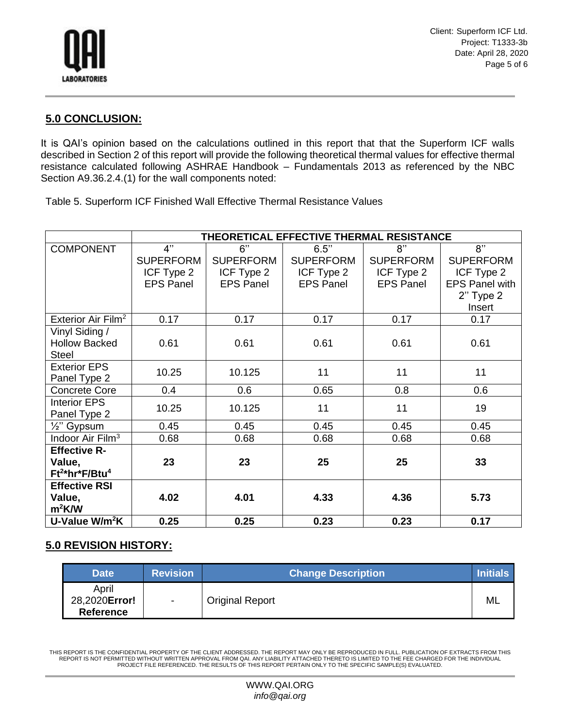

Client: Superform ICF Ltd. Project: T1333-3b Date: April 28, 2020 Page 5 of 6

#### **5.0 CONCLUSION:**

It is QAI's opinion based on the calculations outlined in this report that that the Superform ICF walls described in Section 2 of this report will provide the following theoretical thermal values for effective thermal resistance calculated following ASHRAE Handbook – Fundamentals 2013 as referenced by the NBC Section A9.36.2.4.(1) for the wall components noted:

Table 5. Superform ICF Finished Wall Effective Thermal Resistance Values

|                                | THEORETICAL EFFECTIVE THERMAL RESISTANCE |                  |                  |                  |                       |
|--------------------------------|------------------------------------------|------------------|------------------|------------------|-----------------------|
| <b>COMPONENT</b>               | 4"                                       | 6"               | 6.5"             | 8"               | 8"                    |
|                                | <b>SUPERFORM</b>                         | <b>SUPERFORM</b> | <b>SUPERFORM</b> | <b>SUPERFORM</b> | <b>SUPERFORM</b>      |
|                                | ICF Type 2                               | ICF Type 2       | ICF Type 2       | ICF Type 2       | ICF Type 2            |
|                                | <b>EPS Panel</b>                         | <b>EPS Panel</b> | <b>EPS Panel</b> | <b>EPS Panel</b> | <b>EPS Panel with</b> |
|                                |                                          |                  |                  |                  | $2"$ Type $2$         |
|                                |                                          |                  |                  |                  | Insert                |
| Exterior Air Film <sup>2</sup> | 0.17                                     | 0.17             | 0.17             | 0.17             | 0.17                  |
| Vinyl Siding /                 |                                          |                  |                  |                  |                       |
| <b>Hollow Backed</b>           | 0.61                                     | 0.61             | 0.61             | 0.61             | 0.61                  |
| <b>Steel</b>                   |                                          |                  |                  |                  |                       |
| <b>Exterior EPS</b>            | 10.25                                    | 10.125           | 11               | 11               | 11                    |
| Panel Type 2                   |                                          |                  |                  |                  |                       |
| <b>Concrete Core</b>           | 0.4                                      | 0.6              | 0.65             | 0.8              | 0.6                   |
| <b>Interior EPS</b>            | 10.25                                    | 10.125           | 11               | 11               | 19                    |
| Panel Type 2                   |                                          |                  |                  |                  |                       |
| $\frac{1}{2}$ " Gypsum         | 0.45                                     | 0.45             | 0.45             | 0.45             | 0.45                  |
| Indoor Air Film <sup>3</sup>   | 0.68                                     | 0.68             | 0.68             | 0.68             | 0.68                  |
| <b>Effective R-</b>            |                                          |                  |                  |                  |                       |
| Value,                         | 23                                       | 23               | 25               | 25               | 33                    |
| $Ft^{2*}hr^*F/Btu^4$           |                                          |                  |                  |                  |                       |
| <b>Effective RSI</b>           |                                          |                  |                  |                  |                       |
| Value,                         | 4.02                                     | 4.01             | 4.33             | 4.36             | 5.73                  |
| $m^2$ K/W                      |                                          |                  |                  |                  |                       |
| U-Value W/m <sup>2</sup> K     | 0.25                                     | 0.25             | 0.23             | 0.23             | 0.17                  |

## **5.0 REVISION HISTORY:**

| <b>Date</b>                                | <b>Revision</b> | <b>Change Description</b> | <b>Initials</b> |
|--------------------------------------------|-----------------|---------------------------|-----------------|
| April<br>28,2020Error!<br><b>Reference</b> | $\blacksquare$  | <b>Original Report</b>    | ML              |